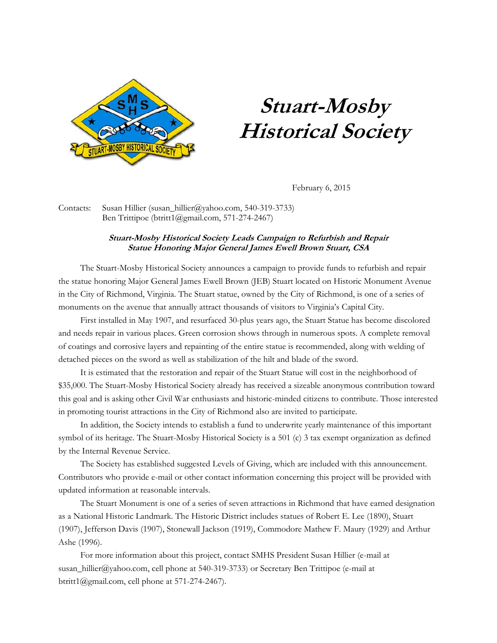

## **Stuart-Mosby Historical Society**

February 6, 2015

Contacts: Susan Hillier (susan\_hillier@yahoo.com, 540-319-3733) Ben Trittipoe (btritt1@gmail.com, 571-274-2467)

## **Stuart-Mosby Historical Society Leads Campaign to Refurbish and Repair Statue Honoring Major General James Ewell Brown Stuart, CSA**

The Stuart-Mosby Historical Society announces a campaign to provide funds to refurbish and repair the statue honoring Major General James Ewell Brown (JEB) Stuart located on Historic Monument Avenue in the City of Richmond, Virginia. The Stuart statue, owned by the City of Richmond, is one of a series of monuments on the avenue that annually attract thousands of visitors to Virginia's Capital City.

 First installed in May 1907, and resurfaced 30-plus years ago, the Stuart Statue has become discolored and needs repair in various places. Green corrosion shows through in numerous spots. A complete removal of coatings and corrosive layers and repainting of the entire statue is recommended, along with welding of detached pieces on the sword as well as stabilization of the hilt and blade of the sword.

It is estimated that the restoration and repair of the Stuart Statue will cost in the neighborhood of \$35,000. The Stuart-Mosby Historical Society already has received a sizeable anonymous contribution toward this goal and is asking other Civil War enthusiasts and historic-minded citizens to contribute. Those interested in promoting tourist attractions in the City of Richmond also are invited to participate.

In addition, the Society intends to establish a fund to underwrite yearly maintenance of this important symbol of its heritage. The Stuart-Mosby Historical Society is a 501 (c) 3 tax exempt organization as defined by the Internal Revenue Service.

The Society has established suggested Levels of Giving, which are included with this announcement. Contributors who provide e-mail or other contact information concerning this project will be provided with updated information at reasonable intervals.

The Stuart Monument is one of a series of seven attractions in Richmond that have earned designation as a National Historic Landmark. The Historic District includes statues of Robert E. Lee (1890), Stuart (1907), Jefferson Davis (1907), Stonewall Jackson (1919), Commodore Mathew F. Maury (1929) and Arthur Ashe (1996).

For more information about this project, contact SMHS President Susan Hillier (e-mail at susan\_hillier@yahoo.com, cell phone at 540-319-3733) or Secretary Ben Trittipoe (e-mail at btritt1@gmail.com, cell phone at 571-274-2467).